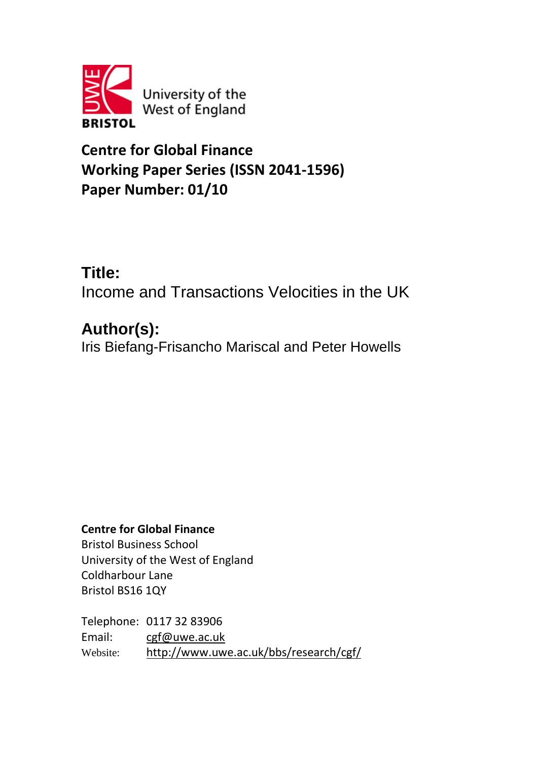

**Centre for Global Finance Working Paper Series (ISSN 2041-1596) Paper Number: 01/10**

# **Title:**

Income and Transactions Velocities in the UK

# **Author(s):**

Iris Biefang-Frisancho Mariscal and Peter Howells

# **Centre for Global Finance**

Bristol Business School University of the West of England Coldharbour Lane Bristol BS16 1QY

Telephone: 0117 32 83906 Email: [cgf@uwe.ac.uk](mailto:cgf@uwe.ac.uk) Website: <http://www.uwe.ac.uk/bbs/research/cgf/>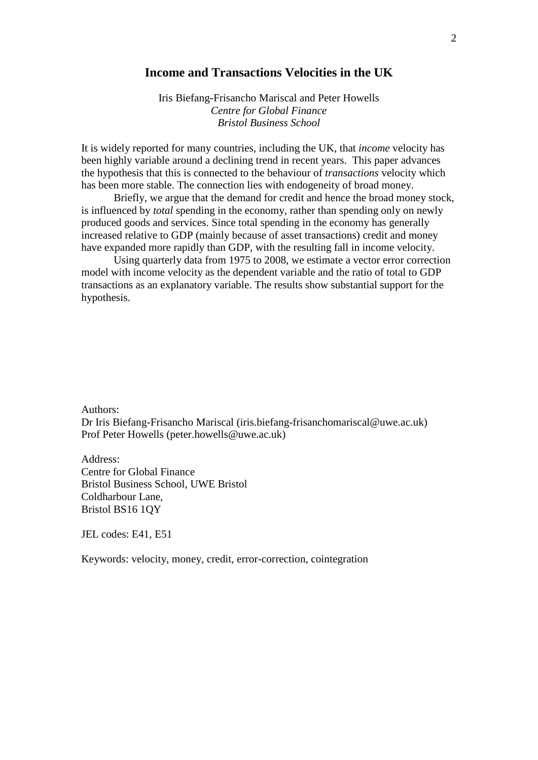# **Income and Transactions Velocities in the UK**

Iris Biefang-Frisancho Mariscal and Peter Howells *Centre for Global Finance Bristol Business School*

It is widely reported for many countries, including the UK, that *income* velocity has been highly variable around a declining trend in recent years. This paper advances the hypothesis that this is connected to the behaviour of *transactions* velocity which has been more stable. The connection lies with endogeneity of broad money.

Briefly, we argue that the demand for credit and hence the broad money stock, is influenced by *total* spending in the economy, rather than spending only on newly produced goods and services. Since total spending in the economy has generally increased relative to GDP (mainly because of asset transactions) credit and money have expanded more rapidly than GDP, with the resulting fall in income velocity.

Using quarterly data from 1975 to 2008, we estimate a vector error correction model with income velocity as the dependent variable and the ratio of total to GDP transactions as an explanatory variable. The results show substantial support for the hypothesis.

Authors:

Dr Iris Biefang-Frisancho Mariscal (iris.biefang-frisanchomariscal@uwe.ac.uk) Prof Peter Howells (peter.howells@uwe.ac.uk)

Address: Centre for Global Finance Bristol Business School, UWE Bristol Coldharbour Lane, Bristol BS16 1QY

JEL codes: E41, E51

Keywords: velocity, money, credit, error-correction, cointegration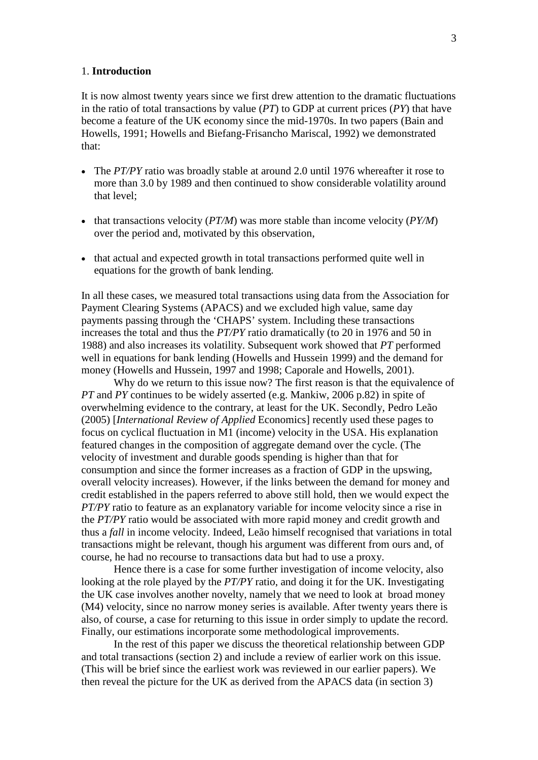#### 1. **Introduction**

It is now almost twenty years since we first drew attention to the dramatic fluctuations in the ratio of total transactions by value (*PT*) to GDP at current prices (*PY*) that have become a feature of the UK economy since the mid-1970s. In two papers (Bain and Howells, 1991; Howells and Biefang-Frisancho Mariscal, 1992) we demonstrated that:

- The *PT/PY* ratio was broadly stable at around 2.0 until 1976 whereafter it rose to more than 3.0 by 1989 and then continued to show considerable volatility around that level;
- that transactions velocity (*PT/M*) was more stable than income velocity (*PY/M*) over the period and, motivated by this observation,
- that actual and expected growth in total transactions performed quite well in equations for the growth of bank lending.

In all these cases, we measured total transactions using data from the Association for Payment Clearing Systems (APACS) and we excluded high value, same day payments passing through the 'CHAPS' system. Including these transactions increases the total and thus the *PT/PY* ratio dramatically (to 20 in 1976 and 50 in 1988) and also increases its volatility. Subsequent work showed that *PT* performed well in equations for bank lending (Howells and Hussein 1999) and the demand for money (Howells and Hussein, 1997 and 1998; Caporale and Howells, 2001).

Why do we return to this issue now? The first reason is that the equivalence of *PT* and *PY* continues to be widely asserted (e.g. Mankiw, 2006 p.82) in spite of overwhelming evidence to the contrary, at least for the UK. Secondly, Pedro Leão (2005) [*International Review of Applied* Economics] recently used these pages to focus on cyclical fluctuation in M1 (income) velocity in the USA. His explanation featured changes in the composition of aggregate demand over the cycle. (The velocity of investment and durable goods spending is higher than that for consumption and since the former increases as a fraction of GDP in the upswing, overall velocity increases). However, if the links between the demand for money and credit established in the papers referred to above still hold, then we would expect the *PT/PY* ratio to feature as an explanatory variable for income velocity since a rise in the *PT/PY* ratio would be associated with more rapid money and credit growth and thus a *fall* in income velocity. Indeed, Leão himself recognised that variations in total transactions might be relevant, though his argument was different from ours and, of course, he had no recourse to transactions data but had to use a proxy.

Hence there is a case for some further investigation of income velocity, also looking at the role played by the *PT/PY* ratio, and doing it for the UK. Investigating the UK case involves another novelty, namely that we need to look at broad money (M4) velocity, since no narrow money series is available. After twenty years there is also, of course, a case for returning to this issue in order simply to update the record. Finally, our estimations incorporate some methodological improvements.

In the rest of this paper we discuss the theoretical relationship between GDP and total transactions (section 2) and include a review of earlier work on this issue. (This will be brief since the earliest work was reviewed in our earlier papers). We then reveal the picture for the UK as derived from the APACS data (in section 3)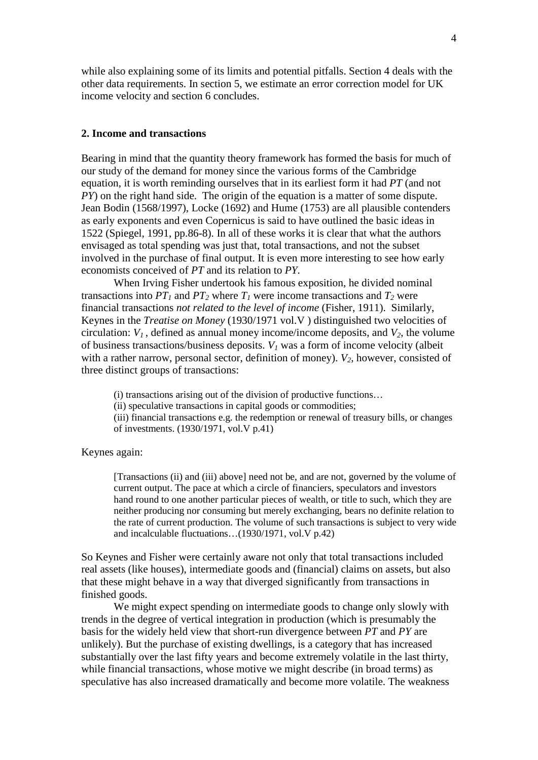while also explaining some of its limits and potential pitfalls. Section 4 deals with the other data requirements. In section 5, we estimate an error correction model for UK income velocity and section 6 concludes.

### **2. Income and transactions**

Bearing in mind that the quantity theory framework has formed the basis for much of our study of the demand for money since the various forms of the Cambridge equation, it is worth reminding ourselves that in its earliest form it had *PT* (and not *PY*) on the right hand side. The origin of the equation is a matter of some dispute. Jean Bodin (1568/1997), Locke (1692) and Hume (1753) are all plausible contenders as early exponents and even Copernicus is said to have outlined the basic ideas in 1522 (Spiegel, 1991, pp.86-8). In all of these works it is clear that what the authors envisaged as total spending was just that, total transactions, and not the subset involved in the purchase of final output. It is even more interesting to see how early economists conceived of *PT* and its relation to *PY.*

When Irving Fisher undertook his famous exposition, he divided nominal transactions into  $PT_1$  and  $PT_2$  where  $T_1$  were income transactions and  $T_2$  were financial transactions *not related to the level of income* (Fisher, 1911). Similarly, Keynes in the *Treatise on Money* (1930/1971 vol.V ) distinguished two velocities of circulation:  $V_1$ , defined as annual money income/income deposits, and  $V_2$ , the volume of business transactions/business deposits. *V1* was a form of income velocity (albeit with a rather narrow, personal sector, definition of money).  $V_2$ , however, consisted of three distinct groups of transactions:

(i) transactions arising out of the division of productive functions…

(ii) speculative transactions in capital goods or commodities;

(iii) financial transactions e.g. the redemption or renewal of treasury bills, or changes of investments. (1930/1971, vol.V p.41)

Keynes again:

[Transactions (ii) and (iii) above] need not be, and are not, governed by the volume of current output. The pace at which a circle of financiers, speculators and investors hand round to one another particular pieces of wealth, or title to such, which they are neither producing nor consuming but merely exchanging, bears no definite relation to the rate of current production. The volume of such transactions is subject to very wide and incalculable fluctuations…(1930/1971, vol.V p.42)

So Keynes and Fisher were certainly aware not only that total transactions included real assets (like houses), intermediate goods and (financial) claims on assets, but also that these might behave in a way that diverged significantly from transactions in finished goods.

We might expect spending on intermediate goods to change only slowly with trends in the degree of vertical integration in production (which is presumably the basis for the widely held view that short-run divergence between *PT* and *PY* are unlikely). But the purchase of existing dwellings, is a category that has increased substantially over the last fifty years and become extremely volatile in the last thirty, while financial transactions, whose motive we might describe (in broad terms) as speculative has also increased dramatically and become more volatile. The weakness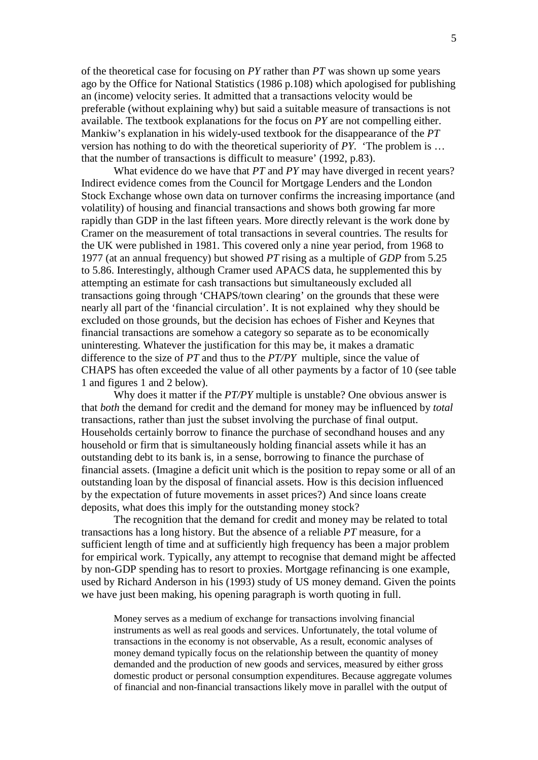of the theoretical case for focusing on *PY* rather than *PT* was shown up some years ago by the Office for National Statistics (1986 p.108) which apologised for publishing an (income) velocity series. It admitted that a transactions velocity would be preferable (without explaining why) but said a suitable measure of transactions is not available. The textbook explanations for the focus on *PY* are not compelling either. Mankiw's explanation in his widely-used textbook for the disappearance of the *PT* version has nothing to do with the theoretical superiority of *PY.* 'The problem is … that the number of transactions is difficult to measure' (1992, p.83).

What evidence do we have that *PT* and *PY* may have diverged in recent years? Indirect evidence comes from the Council for Mortgage Lenders and the London Stock Exchange whose own data on turnover confirms the increasing importance (and volatility) of housing and financial transactions and shows both growing far more rapidly than GDP in the last fifteen years. More directly relevant is the work done by Cramer on the measurement of total transactions in several countries. The results for the UK were published in 1981. This covered only a nine year period, from 1968 to 1977 (at an annual frequency) but showed *PT* rising as a multiple of *GDP* from 5.25 to 5.86. Interestingly, although Cramer used APACS data, he supplemented this by attempting an estimate for cash transactions but simultaneously excluded all transactions going through 'CHAPS/town clearing' on the grounds that these were nearly all part of the 'financial circulation'. It is not explained why they should be excluded on those grounds, but the decision has echoes of Fisher and Keynes that financial transactions are somehow a category so separate as to be economically uninteresting. Whatever the justification for this may be, it makes a dramatic difference to the size of *PT* and thus to the *PT/PY* multiple, since the value of CHAPS has often exceeded the value of all other payments by a factor of 10 (see table 1 and figures 1 and 2 below).

Why does it matter if the *PT/PY* multiple is unstable? One obvious answer is that *both* the demand for credit and the demand for money may be influenced by *total* transactions, rather than just the subset involving the purchase of final output. Households certainly borrow to finance the purchase of secondhand houses and any household or firm that is simultaneously holding financial assets while it has an outstanding debt to its bank is, in a sense, borrowing to finance the purchase of financial assets. (Imagine a deficit unit which is the position to repay some or all of an outstanding loan by the disposal of financial assets. How is this decision influenced by the expectation of future movements in asset prices?) And since loans create deposits, what does this imply for the outstanding money stock?

The recognition that the demand for credit and money may be related to total transactions has a long history. But the absence of a reliable *PT* measure, for a sufficient length of time and at sufficiently high frequency has been a major problem for empirical work. Typically, any attempt to recognise that demand might be affected by non-GDP spending has to resort to proxies. Mortgage refinancing is one example, used by Richard Anderson in his (1993) study of US money demand. Given the points we have just been making, his opening paragraph is worth quoting in full.

Money serves as a medium of exchange for transactions involving financial instruments as well as real goods and services. Unfortunately, the total volume of transactions in the economy is not observable, As a result, economic analyses of money demand typically focus on the relationship between the quantity of money demanded and the production of new goods and services, measured by either gross domestic product or personal consumption expenditures. Because aggregate volumes of financial and non-financial transactions likely move in parallel with the output of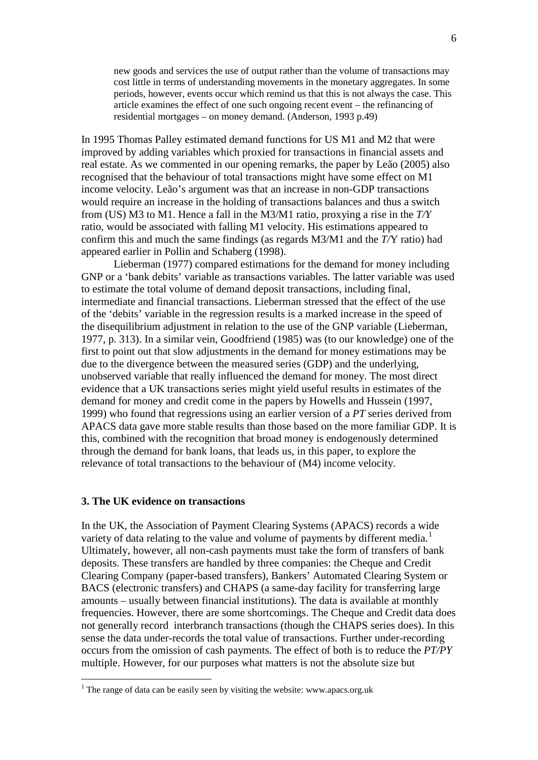new goods and services the use of output rather than the volume of transactions may cost little in terms of understanding movements in the monetary aggregates. In some periods, however, events occur which remind us that this is not always the case. This article examines the effect of one such ongoing recent event – the refinancing of residential mortgages – on money demand. (Anderson, 1993 p.49)

In 1995 Thomas Palley estimated demand functions for US M1 and M2 that were improved by adding variables which proxied for transactions in financial assets and real estate. As we commented in our opening remarks, the paper by Leão (2005) also recognised that the behaviour of total transactions might have some effect on M1 income velocity. Leão's argument was that an increase in non-GDP transactions would require an increase in the holding of transactions balances and thus a switch from (US) M3 to M1. Hence a fall in the M3/M1 ratio, proxying a rise in the *T/Y* ratio, would be associated with falling M1 velocity. His estimations appeared to confirm this and much the same findings (as regards M3/M1 and the *T/*Y ratio) had appeared earlier in Pollin and Schaberg (1998).

Lieberman (1977) compared estimations for the demand for money including GNP or a 'bank debits' variable as transactions variables. The latter variable was used to estimate the total volume of demand deposit transactions, including final, intermediate and financial transactions. Lieberman stressed that the effect of the use of the 'debits' variable in the regression results is a marked increase in the speed of the disequilibrium adjustment in relation to the use of the GNP variable (Lieberman, 1977, p. 313). In a similar vein, Goodfriend (1985) was (to our knowledge) one of the first to point out that slow adjustments in the demand for money estimations may be due to the divergence between the measured series (GDP) and the underlying, unobserved variable that really influenced the demand for money. The most direct evidence that a UK transactions series might yield useful results in estimates of the demand for money and credit come in the papers by Howells and Hussein (1997, 1999) who found that regressions using an earlier version of a *PT* series derived from APACS data gave more stable results than those based on the more familiar GDP. It is this, combined with the recognition that broad money is endogenously determined through the demand for bank loans, that leads us, in this paper, to explore the relevance of total transactions to the behaviour of (M4) income velocity.

#### **3. The UK evidence on transactions**

In the UK, the Association of Payment Clearing Systems (APACS) records a wide variety of data relating to the value and volume of payments by different media.<sup>[1](#page-5-0)</sup> Ultimately, however, all non-cash payments must take the form of transfers of bank deposits. These transfers are handled by three companies: the Cheque and Credit Clearing Company (paper-based transfers), Bankers' Automated Clearing System or BACS (electronic transfers) and CHAPS (a same-day facility for transferring large amounts – usually between financial institutions). The data is available at monthly frequencies. However, there are some shortcomings. The Cheque and Credit data does not generally record interbranch transactions (though the CHAPS series does). In this sense the data under-records the total value of transactions. Further under-recording occurs from the omission of cash payments. The effect of both is to reduce the *PT/PY* multiple. However, for our purposes what matters is not the absolute size but

<span id="page-5-0"></span><sup>&</sup>lt;sup>1</sup> The range of data can be easily seen by visiting the website: www.apacs.org.uk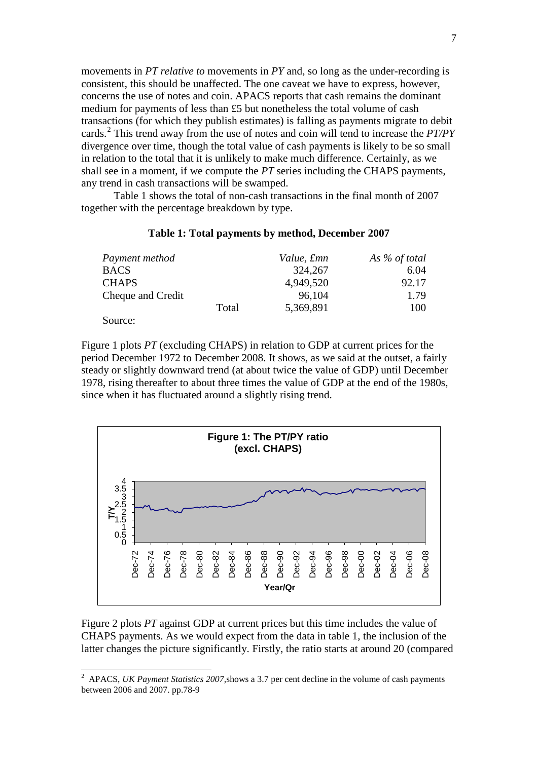movements in *PT relative to* movements in *PY* and, so long as the under-recording is consistent, this should be unaffected. The one caveat we have to express, however, concerns the use of notes and coin. APACS reports that cash remains the dominant medium for payments of less than £5 but nonetheless the total volume of cash transactions (for which they publish estimates) is falling as payments migrate to debit cards.[2](#page-6-0) This trend away from the use of notes and coin will tend to increase the *PT/PY* divergence over time, though the total value of cash payments is likely to be so small in relation to the total that it is unlikely to make much difference. Certainly, as we shall see in a moment, if we compute the *PT* series including the CHAPS payments, any trend in cash transactions will be swamped.

Table 1 shows the total of non-cash transactions in the final month of 2007 together with the percentage breakdown by type.

### **Table 1: Total payments by method, December 2007**

| Payment method    |       | Value, £mn | As $%$ of total |
|-------------------|-------|------------|-----------------|
| <b>BACS</b>       |       | 324,267    | 6.04            |
| <b>CHAPS</b>      |       | 4,949,520  | 92.17           |
| Cheque and Credit |       | 96,104     | 1.79            |
|                   | Total | 5,369,891  | 100             |
| Source:           |       |            |                 |

Figure 1 plots *PT* (excluding CHAPS) in relation to GDP at current prices for the period December 1972 to December 2008. It shows, as we said at the outset, a fairly steady or slightly downward trend (at about twice the value of GDP) until December 1978, rising thereafter to about three times the value of GDP at the end of the 1980s, since when it has fluctuated around a slightly rising trend.



Figure 2 plots *PT* against GDP at current prices but this time includes the value of CHAPS payments. As we would expect from the data in table 1, the inclusion of the latter changes the picture significantly. Firstly, the ratio starts at around 20 (compared

<span id="page-6-0"></span> $\frac{1}{2}$  APACS, *UK Payment Statistics 2007,*shows a 3.7 per cent decline in the volume of cash payments between 2006 and 2007. pp.78-9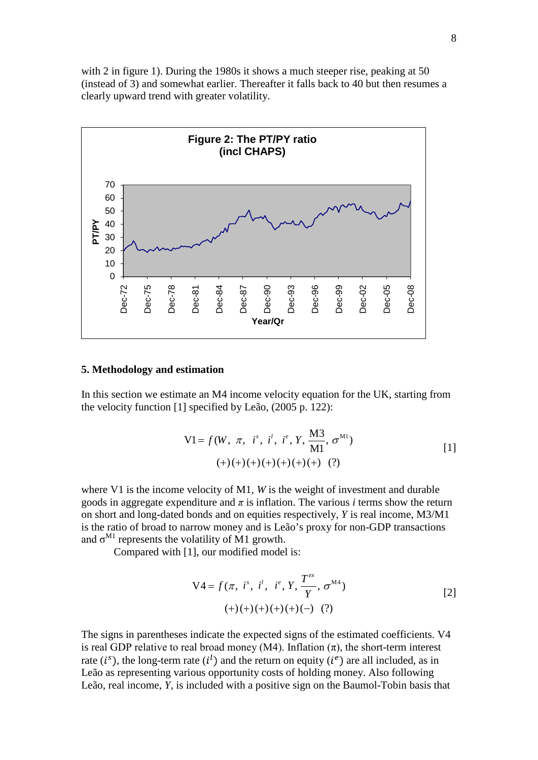with 2 in figure 1). During the 1980s it shows a much steeper rise, peaking at 50 (instead of 3) and somewhat earlier. Thereafter it falls back to 40 but then resumes a clearly upward trend with greater volatility.



#### **5. Methodology and estimation**

In this section we estimate an M4 income velocity equation for the UK, starting from the velocity function [1] specified by Leão, (2005 p. 122):

$$
VI = f(W, \pi, is, it, ie, Y, \frac{M3}{M1}, \sigma^{M1})
$$
  
(+)(+)(+)(+)(+)(+)(+)(+) (?)

where V1 is the income velocity of M1, *W* is the weight of investment and durable goods in aggregate expenditure and  $\pi$  is inflation. The various *i* terms show the return on short and long-dated bonds and on equities respectively, *Y* is real income, M3/M1 is the ratio of broad to narrow money and is Leão's proxy for non-GDP transactions and  $\sigma^{M1}$  represents the volatility of M1 growth.

Compared with [1], our modified model is:

$$
V4 = f(\pi, i^s, i^l, i^e, Y, \frac{T^{ex}}{Y}, \sigma^{M4})
$$
  
(+)(+)(+)(+)(+)(-)(?) (?)

The signs in parentheses indicate the expected signs of the estimated coefficients. V4 is real GDP relative to real broad money (M4). Inflation  $(\pi)$ , the short-term interest rate  $(i^s)$ , the long-term rate  $(i^l)$  and the return on equity  $(i^e)$  are all included, as in Leão as representing various opportunity costs of holding money. Also following Leão, real income, *Y,* is included with a positive sign on the Baumol-Tobin basis that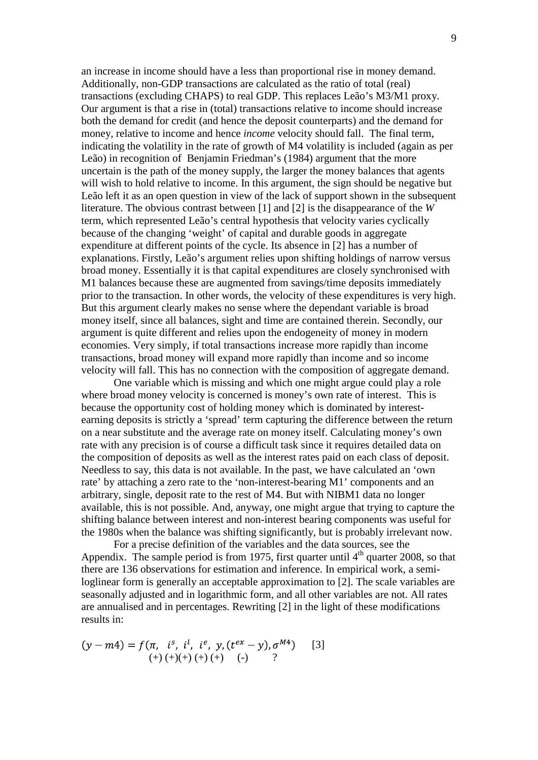an increase in income should have a less than proportional rise in money demand. Additionally, non-GDP transactions are calculated as the ratio of total (real) transactions (excluding CHAPS) to real GDP. This replaces Leão's M3/M1 proxy. Our argument is that a rise in (total) transactions relative to income should increase both the demand for credit (and hence the deposit counterparts) and the demand for money, relative to income and hence *income* velocity should fall. The final term, indicating the volatility in the rate of growth of M4 volatility is included (again as per Leão) in recognition of Benjamin Friedman's (1984) argument that the more uncertain is the path of the money supply, the larger the money balances that agents will wish to hold relative to income. In this argument, the sign should be negative but Leão left it as an open question in view of the lack of support shown in the subsequent literature. The obvious contrast between [1] and [2] is the disappearance of the *W* term, which represented Leão's central hypothesis that velocity varies cyclically because of the changing 'weight' of capital and durable goods in aggregate expenditure at different points of the cycle. Its absence in [2] has a number of explanations. Firstly, Leão's argument relies upon shifting holdings of narrow versus broad money. Essentially it is that capital expenditures are closely synchronised with M1 balances because these are augmented from savings/time deposits immediately prior to the transaction. In other words, the velocity of these expenditures is very high. But this argument clearly makes no sense where the dependant variable is broad money itself, since all balances, sight and time are contained therein. Secondly, our argument is quite different and relies upon the endogeneity of money in modern economies. Very simply, if total transactions increase more rapidly than income transactions, broad money will expand more rapidly than income and so income velocity will fall. This has no connection with the composition of aggregate demand.

One variable which is missing and which one might argue could play a role where broad money velocity is concerned is money's own rate of interest. This is because the opportunity cost of holding money which is dominated by interestearning deposits is strictly a 'spread' term capturing the difference between the return on a near substitute and the average rate on money itself. Calculating money's own rate with any precision is of course a difficult task since it requires detailed data on the composition of deposits as well as the interest rates paid on each class of deposit. Needless to say, this data is not available. In the past, we have calculated an 'own rate' by attaching a zero rate to the 'non-interest-bearing M1' components and an arbitrary, single, deposit rate to the rest of M4. But with NIBM1 data no longer available, this is not possible. And, anyway, one might argue that trying to capture the shifting balance between interest and non-interest bearing components was useful for the 1980s when the balance was shifting significantly, but is probably irrelevant now.

For a precise definition of the variables and the data sources, see the Appendix. The sample period is from 1975, first quarter until  $4<sup>th</sup>$  quarter 2008, so that there are 136 observations for estimation and inference. In empirical work, a semiloglinear form is generally an acceptable approximation to [2]. The scale variables are seasonally adjusted and in logarithmic form, and all other variables are not. All rates are annualised and in percentages. Rewriting [2] in the light of these modifications results in:

$$
(y - m4) = f(\pi, is, i1, ie, y, (tex - y), \sigmaM4)
$$
 [3]  

$$
(+) (+) (+) (+) (+) (-) ?
$$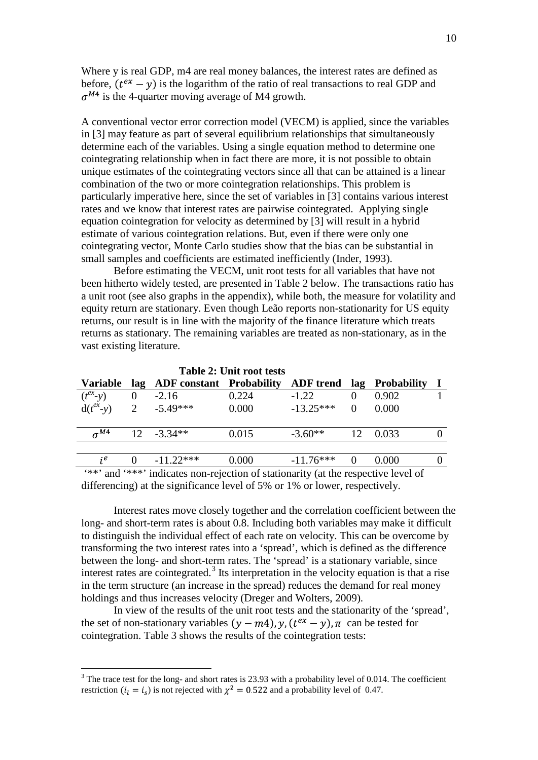Where y is real GDP, m4 are real money balances, the interest rates are defined as before,  $(t^{ex} - v)$  is the logarithm of the ratio of real transactions to real GDP and  $\sigma^{M4}$  is the 4-quarter moving average of M4 growth.

A conventional vector error correction model (VECM) is applied, since the variables in [3] may feature as part of several equilibrium relationships that simultaneously determine each of the variables. Using a single equation method to determine one cointegrating relationship when in fact there are more, it is not possible to obtain unique estimates of the cointegrating vectors since all that can be attained is a linear combination of the two or more cointegration relationships. This problem is particularly imperative here, since the set of variables in [3] contains various interest rates and we know that interest rates are pairwise cointegrated. Applying single equation cointegration for velocity as determined by [3] will result in a hybrid estimate of various cointegration relations. But, even if there were only one cointegrating vector, Monte Carlo studies show that the bias can be substantial in small samples and coefficients are estimated inefficiently (Inder, 1993).

Before estimating the VECM, unit root tests for all variables that have not been hitherto widely tested, are presented in Table 2 below. The transactions ratio has a unit root (see also graphs in the appendix), while both, the measure for volatility and equity return are stationary. Even though Leão reports non-stationarity for US equity returns, our result is in line with the majority of the finance literature which treats returns as stationary. The remaining variables are treated as non-stationary, as in the vast existing literature.

| <b>Table 2: Unit root tests</b> |          |                              |       |             |          |                                    |  |
|---------------------------------|----------|------------------------------|-------|-------------|----------|------------------------------------|--|
| Variable                        |          | lag ADF constant Probability |       |             |          | <b>ADF</b> trend lag Probability I |  |
| $(t^{ex}-y)$                    | $\theta$ | $-2.16$                      | 0.224 | $-1.22$     |          | 0.902                              |  |
| $d(t^{ex}-y)$ 2 -5.49***        |          |                              | 0.000 | $-13.25***$ | $\Omega$ | 0.000                              |  |
|                                 |          |                              |       |             |          |                                    |  |
| $\sigma^{M4}$                   |          | $12 - 3.34**$                | 0.015 | $-3.60**$   | 12       | 0.033                              |  |
|                                 |          |                              |       |             |          |                                    |  |
| je                              |          | $-11.22***$                  | 0.000 | $-11.76***$ | $\theta$ | 0.000                              |  |
|                                 |          |                              |       |             |          |                                    |  |

'\*\*' and '\*\*\*' indicates non-rejection of stationarity (at the respective level of

differencing) at the significance level of 5% or 1% or lower, respectively.

Interest rates move closely together and the correlation coefficient between the long- and short-term rates is about 0.8. Including both variables may make it difficult to distinguish the individual effect of each rate on velocity. This can be overcome by transforming the two interest rates into a 'spread', which is defined as the difference between the long- and short-term rates. The 'spread' is a stationary variable, since interest rates are cointegrated.<sup>[3](#page-9-0)</sup> Its interpretation in the velocity equation is that a rise in the term structure (an increase in the spread) reduces the demand for real money holdings and thus increases velocity (Dreger and Wolters, 2009).

In view of the results of the unit root tests and the stationarity of the 'spread', the set of non-stationary variables  $(y - m4)$ ,  $y$ ,  $(t^{ex} - y)$ ,  $\pi$  can be tested for cointegration. Table 3 shows the results of the cointegration tests:

<span id="page-9-0"></span> $3$  The trace test for the long- and short rates is 23.93 with a probability level of 0.014. The coefficient restriction ( $i_l = i_s$ ) is not rejected with  $\chi^2 = 0.522$  and a probability level of 0.47.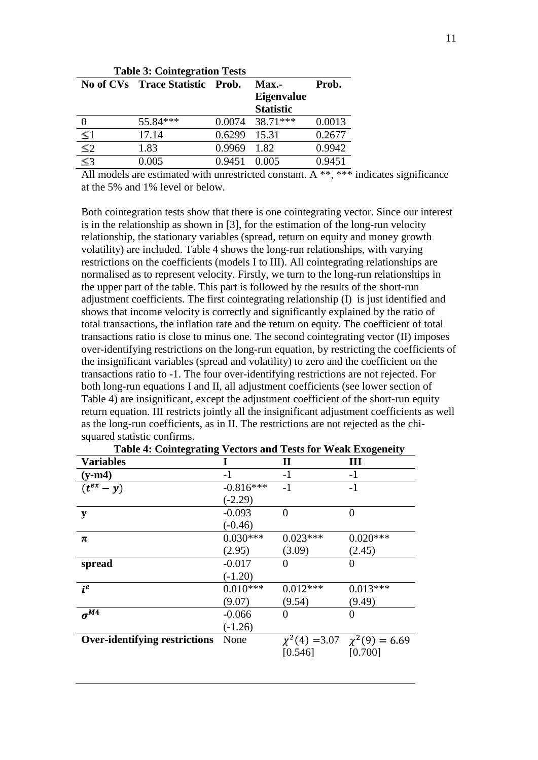| <b>Table 3: Cointegration Tests</b> |                                  |        |                               |        |
|-------------------------------------|----------------------------------|--------|-------------------------------|--------|
|                                     | <b>No of CVs</b> Trace Statistic | Prob.  | $Max. -$<br><b>Eigenvalue</b> | Prob.  |
|                                     |                                  |        | <b>Statistic</b>              |        |
|                                     | 55.84***                         | 0.0074 | 38.71***                      | 0.0013 |
| $\leq$ 1                            | 17.14                            | 0.6299 | 15.31                         | 0.2677 |
| $\leq$ 2                            | 1.83                             | 0.9969 | 1.82                          | 0.9942 |
|                                     | 0.005                            | 0.9451 | 0.005                         | 0.9451 |
|                                     |                                  |        |                               |        |

All models are estimated with unrestricted constant. A \*\*, \*\*\* indicates significance at the 5% and 1% level or below.

Both cointegration tests show that there is one cointegrating vector. Since our interest is in the relationship as shown in [3], for the estimation of the long-run velocity relationship, the stationary variables (spread, return on equity and money growth volatility) are included. Table 4 shows the long-run relationships, with varying restrictions on the coefficients (models I to III). All cointegrating relationships are normalised as to represent velocity. Firstly, we turn to the long-run relationships in the upper part of the table. This part is followed by the results of the short-run adjustment coefficients. The first cointegrating relationship (I) is just identified and shows that income velocity is correctly and significantly explained by the ratio of total transactions, the inflation rate and the return on equity. The coefficient of total transactions ratio is close to minus one. The second cointegrating vector (II) imposes over-identifying restrictions on the long-run equation, by restricting the coefficients of the insignificant variables (spread and volatility) to zero and the coefficient on the transactions ratio to -1. The four over-identifying restrictions are not rejected. For both long-run equations I and II, all adjustment coefficients (see lower section of Table 4) are insignificant, except the adjustment coefficient of the short-run equity return equation. III restricts jointly all the insignificant adjustment coefficients as well as the long-run coefficients, as in II. The restrictions are not rejected as the chisquared statistic confirms.

| Table +. Connegrating vectors and Tests for weak Exogeneity |             |            |                                           |
|-------------------------------------------------------------|-------------|------------|-------------------------------------------|
| <b>Variables</b>                                            |             | П          | Ш                                         |
| $(y-m4)$                                                    | $-1$        | $-1$       | $-1$                                      |
| $(t^{ex}-y)$                                                | $-0.816***$ | $-1$       | $-1$                                      |
|                                                             | $(-2.29)$   |            |                                           |
| y                                                           | $-0.093$    | $\theta$   | $\overline{0}$                            |
|                                                             | $(-0.46)$   |            |                                           |
| π                                                           | $0.030***$  | $0.023***$ | $0.020***$                                |
|                                                             | (2.95)      | (3.09)     | (2.45)                                    |
| spread                                                      | $-0.017$    | $\Omega$   | $\theta$                                  |
|                                                             | $(-1.20)$   |            |                                           |
| $i^e$                                                       | $0.010***$  | $0.012***$ | $0.013***$                                |
|                                                             | (9.07)      | (9.54)     | (9.49)                                    |
| $\sigma^{M\overline{4}}$                                    | $-0.066$    | 0          | $\theta$                                  |
|                                                             | $(-1.26)$   |            |                                           |
| <b>Over-identifying restrictions</b>                        | None        |            | $\chi^2(4) = 3.07 \quad \chi^2(9) = 6.69$ |
|                                                             |             | [0.546]    | [0.700]                                   |
|                                                             |             |            |                                           |

**Table 4: Cointegrating Vectors and Tests for Weak Exogeneity**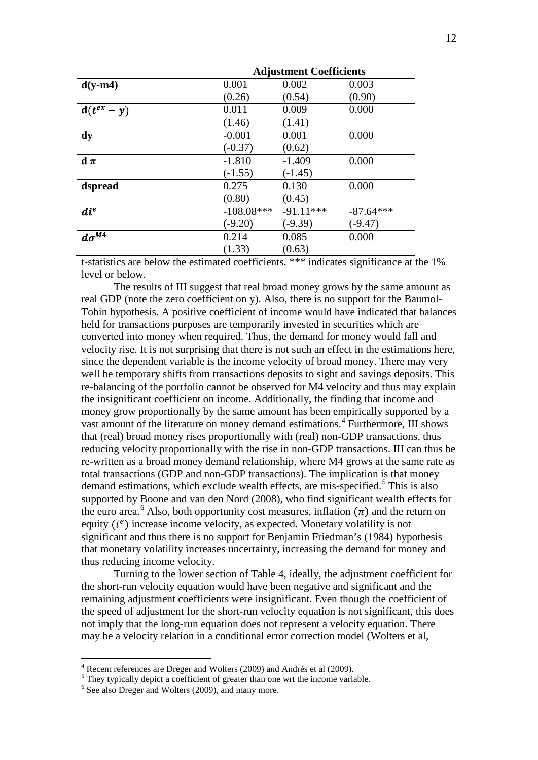|                      |              | <b>Adjustment Coefficients</b> |             |
|----------------------|--------------|--------------------------------|-------------|
| $d(y-m4)$            | 0.001        | 0.002                          | 0.003       |
|                      | (0.26)       | (0.54)                         | (0.90)      |
| $d(t^{ex}-y)$        | 0.011        | 0.009                          | 0.000       |
|                      | (1.46)       | (1.41)                         |             |
| dy                   | $-0.001$     | 0.001                          | 0.000       |
|                      | $(-0.37)$    | (0.62)                         |             |
| $d \pi$              | $-1.810$     | $-1.409$                       | 0.000       |
|                      | $(-1.55)$    | $(-1.45)$                      |             |
| dspread              | 0.275        | 0.130                          | 0.000       |
|                      | (0.80)       | (0.45)                         |             |
| $di^e$               | $-108.08***$ | $-91.11***$                    | $-87.64***$ |
|                      | $(-9.20)$    | $(-9.39)$                      | $(-9.47)$   |
| $d\sigma^{\bar{M4}}$ | 0.214        | 0.085                          | 0.000       |
|                      | (1.33)       | (0.63)                         |             |

t-statistics are below the estimated coefficients. \*\*\* indicates significance at the 1% level or below.

The results of III suggest that real broad money grows by the same amount as real GDP (note the zero coefficient on y). Also, there is no support for the Baumol-Tobin hypothesis. A positive coefficient of income would have indicated that balances held for transactions purposes are temporarily invested in securities which are converted into money when required. Thus, the demand for money would fall and velocity rise. It is not surprising that there is not such an effect in the estimations here, since the dependent variable is the income velocity of broad money. There may very well be temporary shifts from transactions deposits to sight and savings deposits. This re-balancing of the portfolio cannot be observed for M4 velocity and thus may explain the insignificant coefficient on income. Additionally, the finding that income and money grow proportionally by the same amount has been empirically supported by a vast amount of the literature on money demand estimations.<sup>[4](#page-11-0)</sup> Furthermore, III shows that (real) broad money rises proportionally with (real) non-GDP transactions, thus reducing velocity proportionally with the rise in non-GDP transactions. III can thus be re-written as a broad money demand relationship, where M4 grows at the same rate as total transactions (GDP and non-GDP transactions). The implication is that money demand estimations, which exclude wealth effects, are mis-specified.<sup>[5](#page-11-1)</sup> This is also supported by Boone and van den Nord (2008), who find significant wealth effects for the euro area.<sup>[6](#page-11-2)</sup> Also, both opportunity cost measures, inflation  $(\pi)$  and the return on equity  $(i^e)$  increase income velocity, as expected. Monetary volatility is not significant and thus there is no support for Benjamin Friedman's (1984) hypothesis that monetary volatility increases uncertainty, increasing the demand for money and thus reducing income velocity.

Turning to the lower section of Table 4, ideally, the adjustment coefficient for the short-run velocity equation would have been negative and significant and the remaining adjustment coefficients were insignificant. Even though the coefficient of the speed of adjustment for the short-run velocity equation is not significant, this does not imply that the long-run equation does not represent a velocity equation. There may be a velocity relation in a conditional error correction model (Wolters et al,

<span id="page-11-0"></span> $^{4}$  Recent references are Dreger and Wolters (2009) and Andrés et al (2009).<br><sup>5</sup> They typically depict a coefficient of greater than one wrt the income variable.

<span id="page-11-2"></span><span id="page-11-1"></span><sup>&</sup>lt;sup>6</sup> See also Dreger and Wolters (2009), and many more.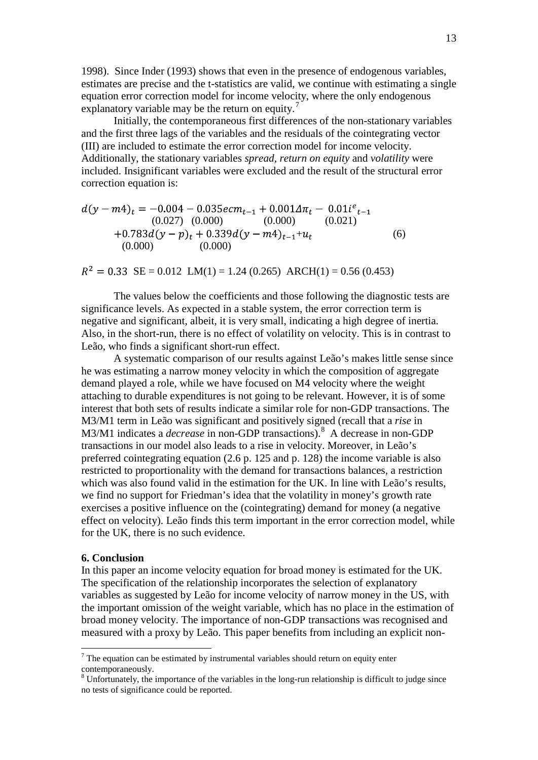1998). Since Inder (1993) shows that even in the presence of endogenous variables, estimates are precise and the t-statistics are valid, we continue with estimating a single equation error correction model for income velocity, where the only endogenous explanatory variable may be the return on equity.<sup>[7](#page-12-0)</sup>

Initially, the contemporaneous first differences of the non-stationary variables and the first three lags of the variables and the residuals of the cointegrating vector (III) are included to estimate the error correction model for income velocity. Additionally, the stationary variables *spread*, *return on equity* and *volatility* were included. Insignificant variables were excluded and the result of the structural error correction equation is:

$$
d(y - m4)_t = -0.004 - 0.035e cm_{t-1} + 0.001\Delta\pi_t - 0.01i^e_{t-1}
$$
  
\n(0.027) (0.000) (0.000) (0.021)  
\n+0.783d(y - p)<sub>t</sub> + 0.339d(y - m4)<sub>t-1</sub>+u<sub>t</sub>  
\n(0.000) (0.000)

 $R^2 = 0.33$  SE = 0.012 LM(1) = 1.24 (0.265) ARCH(1) = 0.56 (0.453)

The values below the coefficients and those following the diagnostic tests are significance levels. As expected in a stable system, the error correction term is negative and significant, albeit, it is very small, indicating a high degree of inertia. Also, in the short-run, there is no effect of volatility on velocity. This is in contrast to Leão, who finds a significant short-run effect.

A systematic comparison of our results against Leão's makes little sense since he was estimating a narrow money velocity in which the composition of aggregate demand played a role, while we have focused on M4 velocity where the weight attaching to durable expenditures is not going to be relevant. However, it is of some interest that both sets of results indicate a similar role for non-GDP transactions. The M3/M1 term in Leão was significant and positively signed (recall that a *rise* in M3/M1 indicates a *decrease* in non-GDP transactions).<sup>[8](#page-12-1)</sup> A decrease in non-GDP transactions in our model also leads to a rise in velocity. Moreover, in Leão's preferred cointegrating equation (2.6 p. 125 and p. 128) the income variable is also restricted to proportionality with the demand for transactions balances, a restriction which was also found valid in the estimation for the UK. In line with Leão's results, we find no support for Friedman's idea that the volatility in money's growth rate exercises a positive influence on the (cointegrating) demand for money (a negative effect on velocity). Leão finds this term important in the error correction model, while for the UK, there is no such evidence.

#### **6. Conclusion**

In this paper an income velocity equation for broad money is estimated for the UK. The specification of the relationship incorporates the selection of explanatory variables as suggested by Leão for income velocity of narrow money in the US, with the important omission of the weight variable, which has no place in the estimation of broad money velocity. The importance of non-GDP transactions was recognised and measured with a proxy by Leão. This paper benefits from including an explicit non-

<span id="page-12-0"></span> $<sup>7</sup>$  The equation can be estimated by instrumental variables should return on equity enter</sup> contemporaneously.

<span id="page-12-1"></span><sup>&</sup>lt;sup>8</sup> Unfortunately, the importance of the variables in the long-run relationship is difficult to judge since no tests of significance could be reported.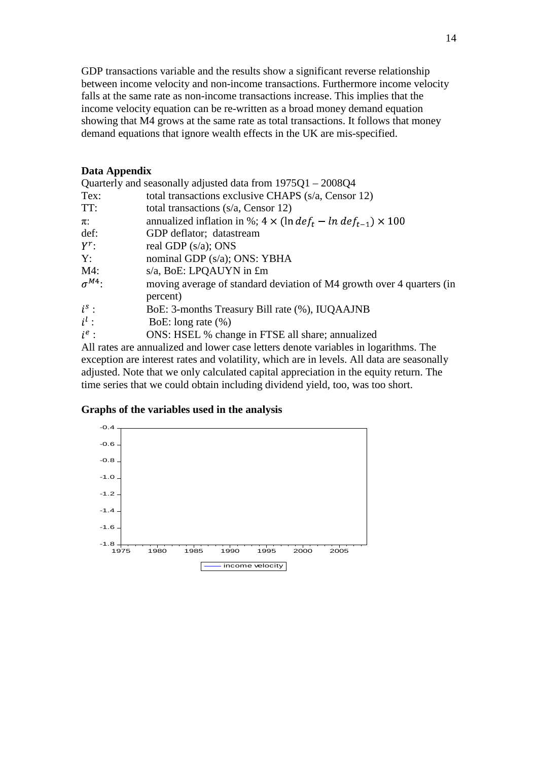GDP transactions variable and the results show a significant reverse relationship between income velocity and non-income transactions. Furthermore income velocity falls at the same rate as non-income transactions increase. This implies that the income velocity equation can be re-written as a broad money demand equation showing that M4 grows at the same rate as total transactions. It follows that money demand equations that ignore wealth effects in the UK are mis-specified.

## **Data Appendix**

|                 | Quarterly and seasonally adjusted data from $1975Q1 - 2008Q4$                             |
|-----------------|-------------------------------------------------------------------------------------------|
| Tex:            | total transactions exclusive CHAPS (s/a, Censor 12)                                       |
| TT:             | total transactions $(s/a, Censor 12)$                                                     |
| $\pi$ :         | annualized inflation in %; $4 \times (\ln def_t - \ln def_{t-1}) \times 100$              |
| def:            | GDP deflator; datastream                                                                  |
| $Y^r$ :         | real GDP $(s/a)$ ; ONS                                                                    |
| Y:              | nominal GDP (s/a); ONS: YBHA                                                              |
| $M4$ :          | s/a, BoE: LPQAUYN in £m                                                                   |
| $\sigma^{M4}$ : | moving average of standard deviation of M4 growth over 4 quarters (in                     |
|                 | percent)                                                                                  |
| $i^s$ :         | BoE: 3-months Treasury Bill rate (%), IUQAAJNB                                            |
| $i^l$ :         | BoE: long rate $(\%)$                                                                     |
| $i^e$ :         | ONS: HSEL % change in FTSE all share; annualized                                          |
|                 | All notes are super-lined and larger associations denote result besitz la sociations. The |

All rates are annualized and lower case letters denote variables in logarithms. The exception are interest rates and volatility, which are in levels. All data are seasonally adjusted. Note that we only calculated capital appreciation in the equity return. The time series that we could obtain including dividend yield, too, was too short.

# **Graphs of the variables used in the analysis**

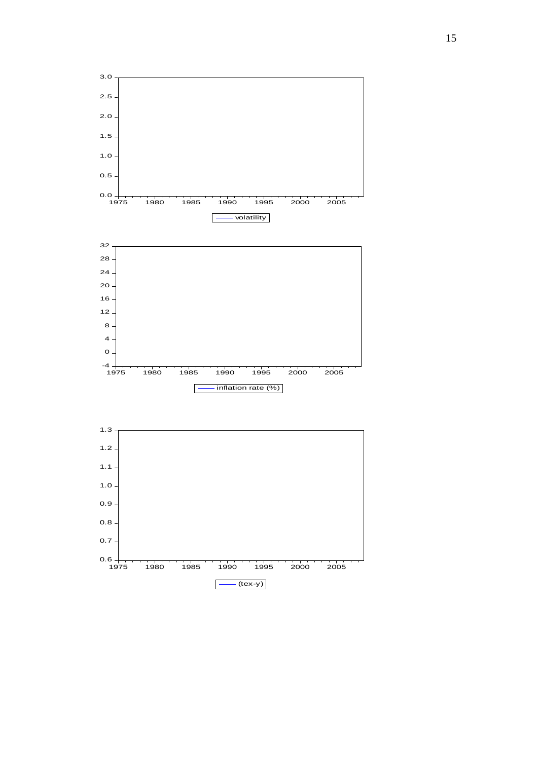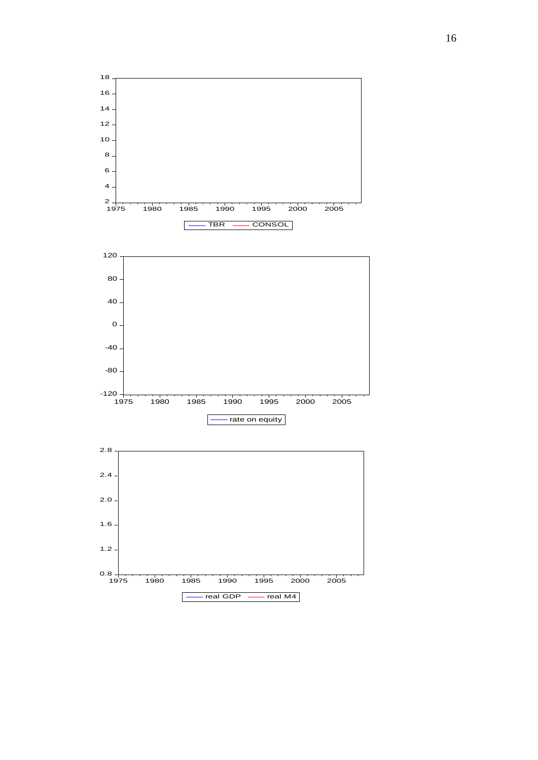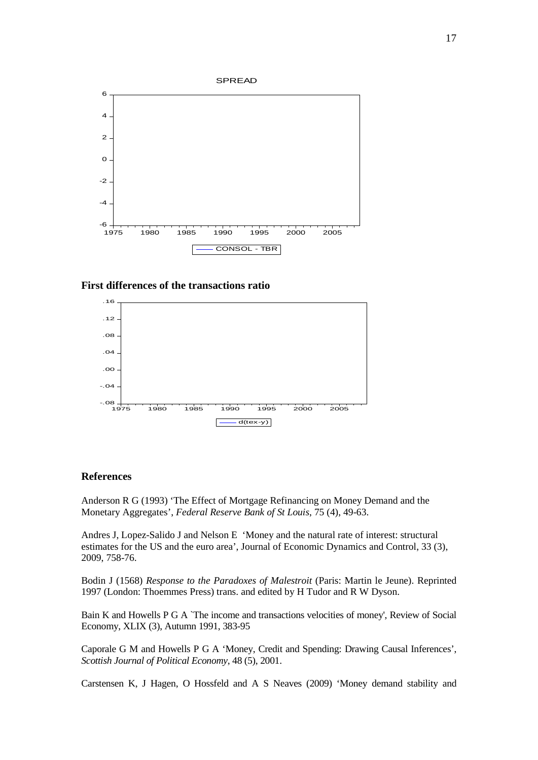

**First differences of the transactions ratio**



#### **References**

Anderson R G (1993) 'The Effect of Mortgage Refinancing on Money Demand and the Monetary Aggregates', *Federal Reserve Bank of St Louis*, 75 (4), 49-63.

Andres J, Lopez-Salido J and Nelson E 'Money and the natural rate of interest: structural estimates for the US and the euro area', Journal of Economic Dynamics and Control, 33 (3), 2009, 758-76.

Bodin J (1568) *Response to the Paradoxes of Malestroit* (Paris: Martin le Jeune). Reprinted 1997 (London: Thoemmes Press) trans. and edited by H Tudor and R W Dyson.

Bain K and Howells P G A `The income and transactions velocities of money', Review of Social Economy, XLIX (3), Autumn 1991, 383-95

Caporale G M and Howells P G A 'Money, Credit and Spending: Drawing Causal Inferences', *Scottish Journal of Political Economy*, 48 (5), 2001.

Carstensen K, J Hagen, O Hossfeld and A S Neaves (2009) 'Money demand stability and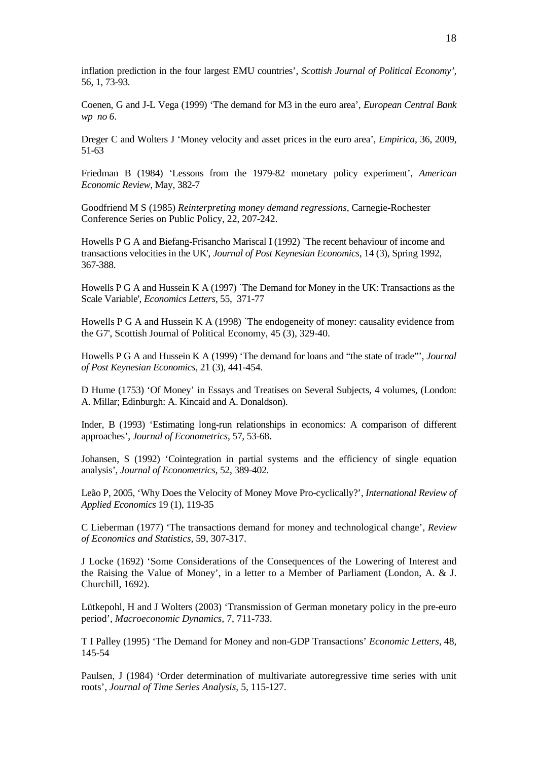inflation prediction in the four largest EMU countries', *Scottish Journal of Political Economy',*  56, 1, 73-93*.*

Coenen, G and J-L Vega (1999) 'The demand for M3 in the euro area', *European Central Bank wp no 6*.

Dreger C and Wolters J 'Money velocity and asset prices in the euro area', *Empirica*, 36, 2009, 51-63

Friedman B (1984) 'Lessons from the 1979-82 monetary policy experiment', *American Economic Review*, May, 382-7

Goodfriend M S (1985) *Reinterpreting money demand regressions*, Carnegie-Rochester Conference Series on Public Policy, 22, 207-242.

Howells P G A and Biefang-Frisancho Mariscal I (1992) `The recent behaviour of income and transactions velocities in the UK', *Journal of Post Keynesian Economics*, 14 (3), Spring 1992, 367-388.

Howells P G A and Hussein K A (1997) `The Demand for Money in the UK: Transactions as the Scale Variable', *Economics Letters*, 55, 371-77

Howells P G A and Hussein K A (1998) `The endogeneity of money: causality evidence from the G7', Scottish Journal of Political Economy, 45 (3), 329-40.

Howells P G A and Hussein K A (1999) 'The demand for loans and "the state of trade"', *Journal of Post Keynesian Economics*, 21 (3), 441-454.

D Hume (1753) 'Of Money' in Essays and Treatises on Several Subjects, 4 volumes, (London: A. Millar; Edinburgh: A. Kincaid and A. Donaldson).

Inder, B (1993) 'Estimating long-run relationships in economics: A comparison of different approaches', *Journal of Econometrics*, 57, 53-68.

Johansen, S (1992) 'Cointegration in partial systems and the efficiency of single equation analysis', *Journal of Econometrics*, 52, 389-402.

Leão P, 2005, 'Why Does the Velocity of Money Move Pro-cyclically?', *International Review of Applied Economics* 19 (1), 119-35

C Lieberman (1977) 'The transactions demand for money and technological change', *Review of Economics and Statistics,* 59, 307-317.

J Locke (1692) 'Some Considerations of the Consequences of the Lowering of Interest and the Raising the Value of Money', in a letter to a Member of Parliament (London, A. & J. Churchill, 1692).

Lütkepohl, H and J Wolters (2003) 'Transmission of German monetary policy in the pre-euro period', *Macroeconomic Dynamics*, 7, 711-733.

T I Palley (1995) 'The Demand for Money and non-GDP Transactions' *Economic Letters,* 48, 145-54

Paulsen, J (1984) 'Order determination of multivariate autoregressive time series with unit roots', *Journal of Time Series Analysis*, 5, 115-127.